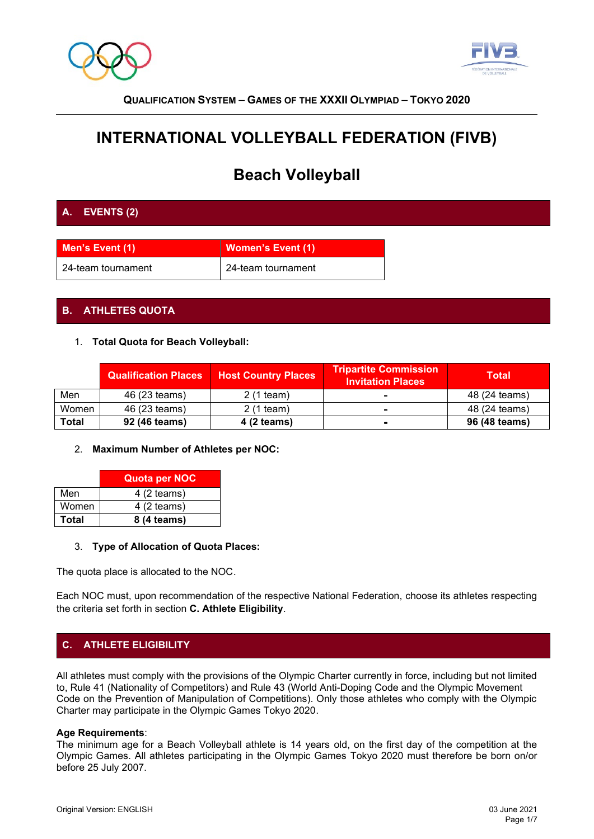



# **INTERNATIONAL VOLLEYBALL FEDERATION (FIVB)**

# **Beach Volleyball**

## **A. EVENTS (2)**

| Men's Event (1)    | <b>Women's Event (1)</b> |
|--------------------|--------------------------|
| 24-team tournament | 24-team tournament       |

## **B. ATHLETES QUOTA**

#### 1. **Total Quota for Beach Volleyball:**

|       | <b>Qualification Places</b> | <b>Host Country Places</b> | <b>Tripartite Commission</b><br><b>Invitation Places</b> | <b>Total</b>  |
|-------|-----------------------------|----------------------------|----------------------------------------------------------|---------------|
| Men   | 46 (23 teams)               | 2 (1 team)                 |                                                          | 48 (24 teams) |
| Women | 46 (23 teams)               | $2(1$ team)                |                                                          | 48 (24 teams) |
| Total | 92 (46 teams)               | 4 (2 teams)                | $\blacksquare$                                           | 96 (48 teams) |

#### 2. **Maximum Number of Athletes per NOC:**

|       | <b>Quota per NOC</b> |
|-------|----------------------|
| Men   | $4(2$ teams)         |
| Women | $4(2$ teams)         |
| Total | 8 (4 teams)          |

#### 3. **Type of Allocation of Quota Places:**

The quota place is allocated to the NOC.

Each NOC must, upon recommendation of the respective National Federation, choose its athletes respecting the criteria set forth in section **C. Athlete Eligibility**.

## **C. ATHLETE ELIGIBILITY**

All athletes must comply with the provisions of the Olympic Charter currently in force, including but not limited to, Rule 41 (Nationality of Competitors) and Rule 43 (World Anti-Doping Code and the Olympic Movement Code on the Prevention of Manipulation of Competitions). Only those athletes who comply with the Olympic Charter may participate in the Olympic Games Tokyo 2020.

#### **Age Requirements**:

The minimum age for a Beach Volleyball athlete is 14 years old, on the first day of the competition at the Olympic Games. All athletes participating in the Olympic Games Tokyo 2020 must therefore be born on/or before 25 July 2007.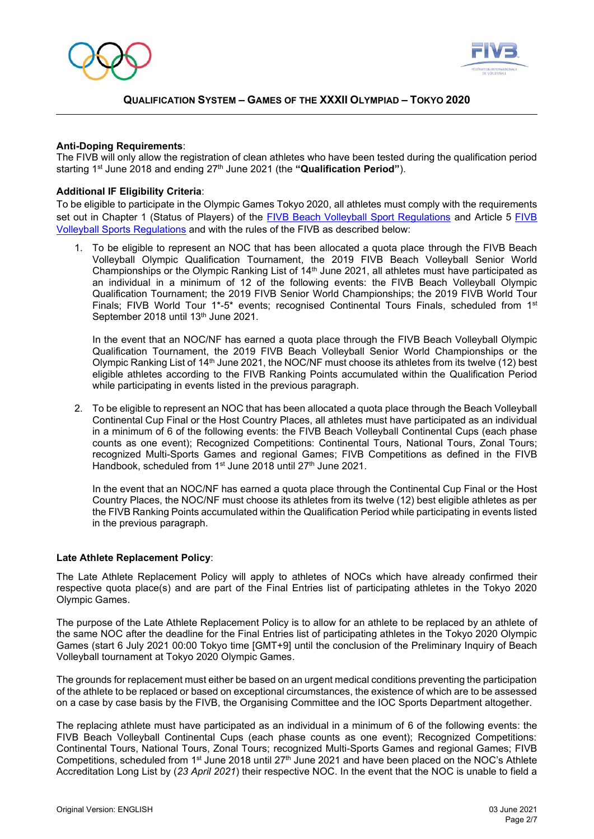



#### **Anti-Doping Requirements**:

The FIVB will only allow the registration of clean athletes who have been tested during the qualification period starting 1<sup>st</sup> June 2018 and ending 27<sup>th</sup> June 2021 (the "Qualification Period").

#### **Additional IF Eligibility Criteria**:

To be eligible to participate in the Olympic Games Tokyo 2020, all athletes must comply with the requirements set out in Chapter 1 (Status of Players) of the [FIVB Beach Volleyball Sport Regulations](http://www.fivb.org/EN/BeachVolleyball/Document/2017FIVB_BVB_Sports_Regulations_Final_20170822.pdf) and Article 5 FIVB [Volleyball Sports Regulations](http://www.fivb.org/EN/FIVB/Document/Legal/FIVB_Sports_Regulations_2017_20170711.pdf) and with the rules of the FIVB as described below:

1. To be eligible to represent an NOC that has been allocated a quota place through the FIVB Beach Volleyball Olympic Qualification Tournament, the 2019 FIVB Beach Volleyball Senior World Championships or the Olympic Ranking List of  $14<sup>th</sup>$  June 2021, all athletes must have participated as an individual in a minimum of 12 of the following events: the FIVB Beach Volleyball Olympic Qualification Tournament; the 2019 FIVB Senior World Championships; the 2019 FIVB World Tour Finals; FIVB World Tour 1<sup>\*</sup>-5<sup>\*</sup> events; recognised Continental Tours Finals, scheduled from 1<sup>st</sup> September 2018 until 13<sup>th</sup> June 2021.

In the event that an NOC/NF has earned a quota place through the FIVB Beach Volleyball Olympic Qualification Tournament, the 2019 FIVB Beach Volleyball Senior World Championships or the Olympic Ranking List of 14<sup>th</sup> June 2021, the NOC/NF must choose its athletes from its twelve (12) best eligible athletes according to the FIVB Ranking Points accumulated within the Qualification Period while participating in events listed in the previous paragraph.

2. To be eligible to represent an NOC that has been allocated a quota place through the Beach Volleyball Continental Cup Final or the Host Country Places, all athletes must have participated as an individual in a minimum of 6 of the following events: the FIVB Beach Volleyball Continental Cups (each phase counts as one event); Recognized Competitions: Continental Tours, National Tours, Zonal Tours; recognized Multi-Sports Games and regional Games; FIVB Competitions as defined in the FIVB Handbook, scheduled from 1<sup>st</sup> June 2018 until 27<sup>th</sup> June 2021.

In the event that an NOC/NF has earned a quota place through the Continental Cup Final or the Host Country Places, the NOC/NF must choose its athletes from its twelve (12) best eligible athletes as per the FIVB Ranking Points accumulated within the Qualification Period while participating in events listed in the previous paragraph.

#### **Late Athlete Replacement Policy**:

The Late Athlete Replacement Policy will apply to athletes of NOCs which have already confirmed their respective quota place(s) and are part of the Final Entries list of participating athletes in the Tokyo 2020 Olympic Games.

The purpose of the Late Athlete Replacement Policy is to allow for an athlete to be replaced by an athlete of the same NOC after the deadline for the Final Entries list of participating athletes in the Tokyo 2020 Olympic Games (start 6 July 2021 00:00 Tokyo time [GMT+9] until the conclusion of the Preliminary Inquiry of Beach Volleyball tournament at Tokyo 2020 Olympic Games.

The grounds for replacement must either be based on an urgent medical conditions preventing the participation of the athlete to be replaced or based on exceptional circumstances, the existence of which are to be assessed on a case by case basis by the FIVB, the Organising Committee and the IOC Sports Department altogether.

The replacing athlete must have participated as an individual in a minimum of 6 of the following events: the FIVB Beach Volleyball Continental Cups (each phase counts as one event); Recognized Competitions: Continental Tours, National Tours, Zonal Tours; recognized Multi-Sports Games and regional Games; FIVB Competitions, scheduled from 1<sup>st</sup> June 2018 until 27<sup>th</sup> June 2021 and have been placed on the NOC's Athlete Accreditation Long List by (*23 April 2021*) their respective NOC. In the event that the NOC is unable to field a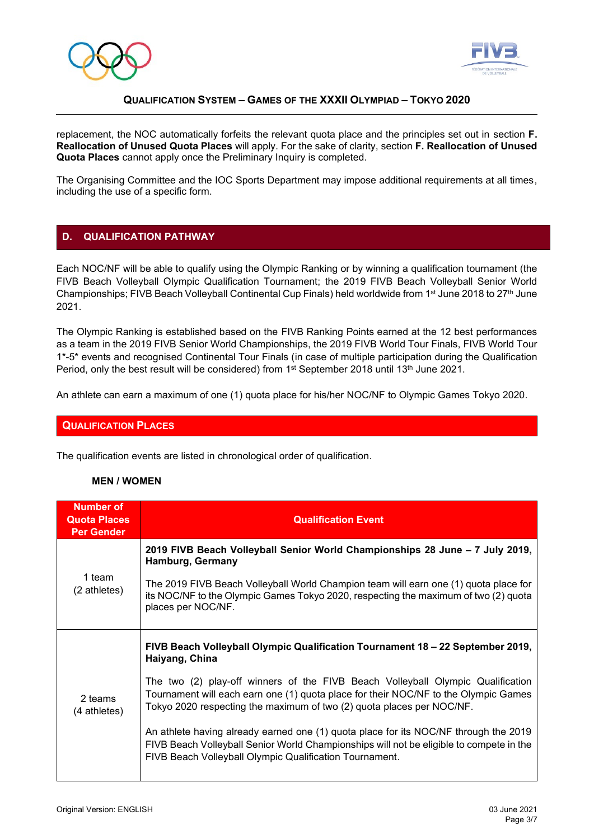



replacement, the NOC automatically forfeits the relevant quota place and the principles set out in section **F. Reallocation of Unused Quota Places** will apply. For the sake of clarity, section **F. Reallocation of Unused Quota Places** cannot apply once the Preliminary Inquiry is completed.

The Organising Committee and the IOC Sports Department may impose additional requirements at all times, including the use of a specific form.

## **D. QUALIFICATION PATHWAY**

Each NOC/NF will be able to qualify using the Olympic Ranking or by winning a qualification tournament (the FIVB Beach Volleyball Olympic Qualification Tournament; the 2019 FIVB Beach Volleyball Senior World Championships; FIVB Beach Volleyball Continental Cup Finals) held worldwide from 1<sup>st</sup> June 2018 to 27<sup>th</sup> June 2021.

The Olympic Ranking is established based on the FIVB Ranking Points earned at the 12 best performances as a team in the 2019 FIVB Senior World Championships, the 2019 FIVB World Tour Finals, FIVB World Tour 1\*-5\* events and recognised Continental Tour Finals (in case of multiple participation during the Qualification Period, only the best result will be considered) from  $1<sup>st</sup>$  September 2018 until 13<sup>th</sup> June 2021.

An athlete can earn a maximum of one (1) quota place for his/her NOC/NF to Olympic Games Tokyo 2020.

#### **QUALIFICATION PLACES**

The qualification events are listed in chronological order of qualification.

#### **MEN / WOMEN**

| <b>Number of</b><br><b>Quota Places</b><br><b>Per Gender</b> | <b>Qualification Event</b>                                                                                                                                                                                                                      |
|--------------------------------------------------------------|-------------------------------------------------------------------------------------------------------------------------------------------------------------------------------------------------------------------------------------------------|
| 1 team<br>(2 athletes)                                       | 2019 FIVB Beach Volleyball Senior World Championships 28 June – 7 July 2019,<br><b>Hamburg, Germany</b>                                                                                                                                         |
|                                                              | The 2019 FIVB Beach Volleyball World Champion team will earn one (1) quota place for<br>its NOC/NF to the Olympic Games Tokyo 2020, respecting the maximum of two (2) quota<br>places per NOC/NF.                                               |
| 2 teams<br>(4 athletes)                                      | FIVB Beach Volleyball Olympic Qualification Tournament 18 - 22 September 2019,<br>Haiyang, China                                                                                                                                                |
|                                                              | The two (2) play-off winners of the FIVB Beach Volleyball Olympic Qualification<br>Tournament will each earn one (1) quota place for their NOC/NF to the Olympic Games<br>Tokyo 2020 respecting the maximum of two (2) quota places per NOC/NF. |
|                                                              | An athlete having already earned one (1) quota place for its NOC/NF through the 2019<br>FIVB Beach Volleyball Senior World Championships will not be eligible to compete in the<br>FIVB Beach Volleyball Olympic Qualification Tournament.      |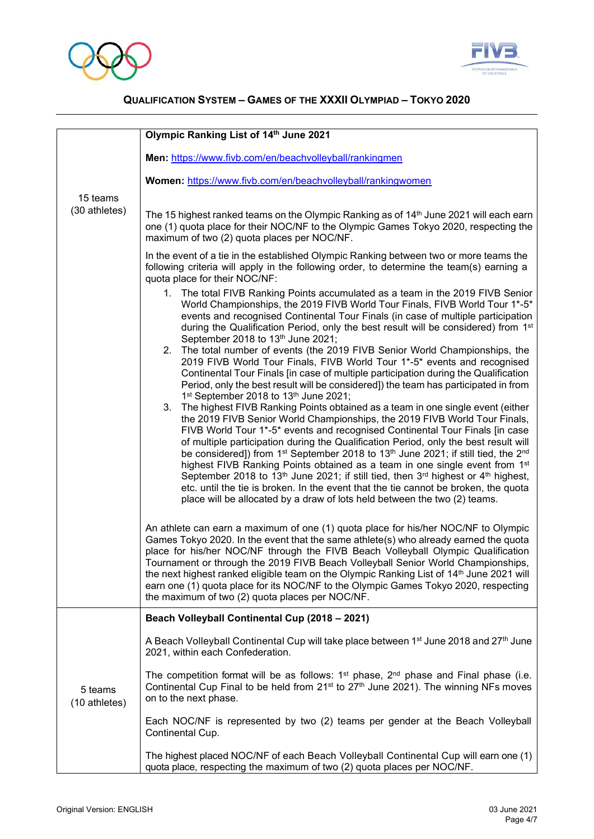



|                           | Olympic Ranking List of 14th June 2021                                                                                                                                                                                                                                                                                                                                                                                                                                                                                                                                                                                                                                                                                                                                                                                                   |  |  |
|---------------------------|------------------------------------------------------------------------------------------------------------------------------------------------------------------------------------------------------------------------------------------------------------------------------------------------------------------------------------------------------------------------------------------------------------------------------------------------------------------------------------------------------------------------------------------------------------------------------------------------------------------------------------------------------------------------------------------------------------------------------------------------------------------------------------------------------------------------------------------|--|--|
|                           | Men: https://www.fivb.com/en/beachvolleyball/rankingmen                                                                                                                                                                                                                                                                                                                                                                                                                                                                                                                                                                                                                                                                                                                                                                                  |  |  |
|                           | Women: https://www.fivb.com/en/beachvolleyball/rankingwomen                                                                                                                                                                                                                                                                                                                                                                                                                                                                                                                                                                                                                                                                                                                                                                              |  |  |
| 15 teams<br>(30 athletes) | The 15 highest ranked teams on the Olympic Ranking as of 14 <sup>th</sup> June 2021 will each earn<br>one (1) quota place for their NOC/NF to the Olympic Games Tokyo 2020, respecting the<br>maximum of two (2) quota places per NOC/NF.                                                                                                                                                                                                                                                                                                                                                                                                                                                                                                                                                                                                |  |  |
|                           | In the event of a tie in the established Olympic Ranking between two or more teams the<br>following criteria will apply in the following order, to determine the team(s) earning a<br>quota place for their NOC/NF:                                                                                                                                                                                                                                                                                                                                                                                                                                                                                                                                                                                                                      |  |  |
|                           | 1. The total FIVB Ranking Points accumulated as a team in the 2019 FIVB Senior<br>World Championships, the 2019 FIVB World Tour Finals, FIVB World Tour 1*-5*<br>events and recognised Continental Tour Finals (in case of multiple participation<br>during the Qualification Period, only the best result will be considered) from 1st<br>September 2018 to 13th June 2021;<br>2. The total number of events (the 2019 FIVB Senior World Championships, the                                                                                                                                                                                                                                                                                                                                                                             |  |  |
|                           | 2019 FIVB World Tour Finals, FIVB World Tour 1*-5* events and recognised<br>Continental Tour Finals [in case of multiple participation during the Qualification<br>Period, only the best result will be considered]) the team has participated in from<br>1 <sup>st</sup> September 2018 to 13 <sup>th</sup> June 2021;                                                                                                                                                                                                                                                                                                                                                                                                                                                                                                                  |  |  |
|                           | The highest FIVB Ranking Points obtained as a team in one single event (either<br>3.<br>the 2019 FIVB Senior World Championships, the 2019 FIVB World Tour Finals,<br>FIVB World Tour 1*-5* events and recognised Continental Tour Finals [in case<br>of multiple participation during the Qualification Period, only the best result will<br>be considered]) from 1 <sup>st</sup> September 2018 to 13 <sup>th</sup> June 2021; if still tied, the 2 <sup>nd</sup><br>highest FIVB Ranking Points obtained as a team in one single event from 1st<br>September 2018 to 13 <sup>th</sup> June 2021; if still tied, then $3^{rd}$ highest or 4 <sup>th</sup> highest,<br>etc. until the tie is broken. In the event that the tie cannot be broken, the quota<br>place will be allocated by a draw of lots held between the two (2) teams. |  |  |
|                           | An athlete can earn a maximum of one (1) quota place for his/her NOC/NF to Olympic<br>Games Tokyo 2020. In the event that the same athlete(s) who already earned the quota<br>place for his/her NOC/NF through the FIVB Beach Volleyball Olympic Qualification<br>Tournament or through the 2019 FIVB Beach Volleyball Senior World Championships,<br>the next highest ranked eligible team on the Olympic Ranking List of 14 <sup>th</sup> June 2021 will<br>earn one (1) quota place for its NOC/NF to the Olympic Games Tokyo 2020, respecting<br>the maximum of two (2) quota places per NOC/NF.                                                                                                                                                                                                                                     |  |  |
|                           | Beach Volleyball Continental Cup (2018 - 2021)                                                                                                                                                                                                                                                                                                                                                                                                                                                                                                                                                                                                                                                                                                                                                                                           |  |  |
|                           | A Beach Volleyball Continental Cup will take place between 1st June 2018 and 27th June<br>2021, within each Confederation.                                                                                                                                                                                                                                                                                                                                                                                                                                                                                                                                                                                                                                                                                                               |  |  |
| 5 teams<br>(10 athletes)  | The competition format will be as follows: $1st$ phase, $2nd$ phase and Final phase (i.e.<br>Continental Cup Final to be held from 21 <sup>st</sup> to 27 <sup>th</sup> June 2021). The winning NFs moves<br>on to the next phase.                                                                                                                                                                                                                                                                                                                                                                                                                                                                                                                                                                                                       |  |  |
|                           | Each NOC/NF is represented by two (2) teams per gender at the Beach Volleyball<br>Continental Cup.                                                                                                                                                                                                                                                                                                                                                                                                                                                                                                                                                                                                                                                                                                                                       |  |  |
|                           | The highest placed NOC/NF of each Beach Volleyball Continental Cup will earn one (1)<br>quota place, respecting the maximum of two (2) quota places per NOC/NF.                                                                                                                                                                                                                                                                                                                                                                                                                                                                                                                                                                                                                                                                          |  |  |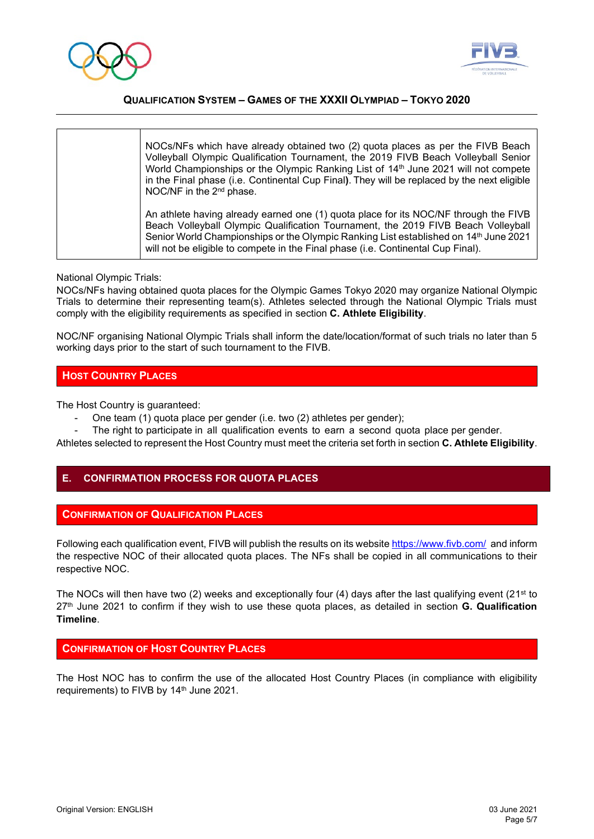



| NOCs/NFs which have already obtained two (2) quota places as per the FIVB Beach<br>Volleyball Olympic Qualification Tournament, the 2019 FIVB Beach Volleyball Senior<br>World Championships or the Olympic Ranking List of 14th June 2021 will not compete<br>in the Final phase (i.e. Continental Cup Final). They will be replaced by the next eligible<br>NOC/NF in the 2 <sup>nd</sup> phase. |
|----------------------------------------------------------------------------------------------------------------------------------------------------------------------------------------------------------------------------------------------------------------------------------------------------------------------------------------------------------------------------------------------------|
| An athlete having already earned one (1) quota place for its NOC/NF through the FIVB<br>Beach Volleyball Olympic Qualification Tournament, the 2019 FIVB Beach Volleyball<br>Senior World Championships or the Olympic Ranking List established on 14 <sup>th</sup> June 2021<br>will not be eligible to compete in the Final phase (i.e. Continental Cup Final).                                  |

#### National Olympic Trials:

NOCs/NFs having obtained quota places for the Olympic Games Tokyo 2020 may organize National Olympic Trials to determine their representing team(s). Athletes selected through the National Olympic Trials must comply with the eligibility requirements as specified in section **C. Athlete Eligibility**.

NOC/NF organising National Olympic Trials shall inform the date/location/format of such trials no later than 5 working days prior to the start of such tournament to the FIVB.

## **HOST COUNTRY PLACES**

The Host Country is guaranteed:

- One team (1) quota place per gender (i.e. two (2) athletes per gender);
- The right to participate in all qualification events to earn a second quota place per gender.

Athletes selected to represent the Host Country must meet the criteria set forth in section **C. Athlete Eligibility**.

#### **E. CONFIRMATION PROCESS FOR QUOTA PLACES**

#### **CONFIRMATION OF QUALIFICATION PLACES**

Following each qualification event, FIVB will publish the results on its website <https://www.fivb.com/> and inform the respective NOC of their allocated quota places. The NFs shall be copied in all communications to their respective NOC.

The NOCs will then have two (2) weeks and exceptionally four (4) days after the last qualifying event (21<sup>st</sup> to 27 th June 2021 to confirm if they wish to use these quota places, as detailed in section **G. Qualification Timeline**.

#### **CONFIRMATION OF HOST COUNTRY PLACES**

The Host NOC has to confirm the use of the allocated Host Country Places (in compliance with eligibility requirements) to FIVB by 14<sup>th</sup> June 2021.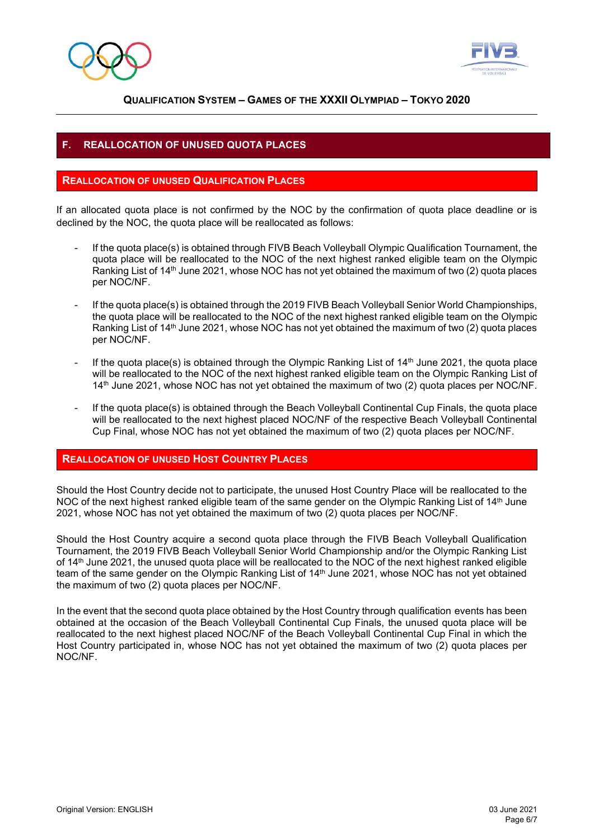



## **F. REALLOCATION OF UNUSED QUOTA PLACES**

#### **REALLOCATION OF UNUSED QUALIFICATION PLACES**

If an allocated quota place is not confirmed by the NOC by the confirmation of quota place deadline or is declined by the NOC, the quota place will be reallocated as follows:

- If the quota place(s) is obtained through FIVB Beach Volleyball Olympic Qualification Tournament, the quota place will be reallocated to the NOC of the next highest ranked eligible team on the Olympic Ranking List of 14<sup>th</sup> June 2021, whose NOC has not yet obtained the maximum of two (2) quota places per NOC/NF.
- If the quota place(s) is obtained through the 2019 FIVB Beach Volleyball Senior World Championships, the quota place will be reallocated to the NOC of the next highest ranked eligible team on the Olympic Ranking List of 14<sup>th</sup> June 2021, whose NOC has not yet obtained the maximum of two (2) quota places per NOC/NF.
- If the quota place(s) is obtained through the Olympic Ranking List of 14<sup>th</sup> June 2021, the quota place will be reallocated to the NOC of the next highest ranked eligible team on the Olympic Ranking List of 14<sup>th</sup> June 2021, whose NOC has not yet obtained the maximum of two (2) quota places per NOC/NF.
- If the quota place(s) is obtained through the Beach Volleyball Continental Cup Finals, the quota place will be reallocated to the next highest placed NOC/NF of the respective Beach Volleyball Continental Cup Final, whose NOC has not yet obtained the maximum of two (2) quota places per NOC/NF.

## **REALLOCATION OF UNUSED HOST COUNTRY PLACES**

Should the Host Country decide not to participate, the unused Host Country Place will be reallocated to the NOC of the next highest ranked eligible team of the same gender on the Olympic Ranking List of 14<sup>th</sup> June 2021, whose NOC has not yet obtained the maximum of two (2) quota places per NOC/NF.

Should the Host Country acquire a second quota place through the FIVB Beach Volleyball Qualification Tournament, the 2019 FIVB Beach Volleyball Senior World Championship and/or the Olympic Ranking List of 14<sup>th</sup> June 2021, the unused quota place will be reallocated to the NOC of the next highest ranked eligible team of the same gender on the Olympic Ranking List of 14 th June 2021, whose NOC has not yet obtained the maximum of two (2) quota places per NOC/NF.

In the event that the second quota place obtained by the Host Country through qualification events has been obtained at the occasion of the Beach Volleyball Continental Cup Finals, the unused quota place will be reallocated to the next highest placed NOC/NF of the Beach Volleyball Continental Cup Final in which the Host Country participated in, whose NOC has not yet obtained the maximum of two (2) quota places per NOC/NF.